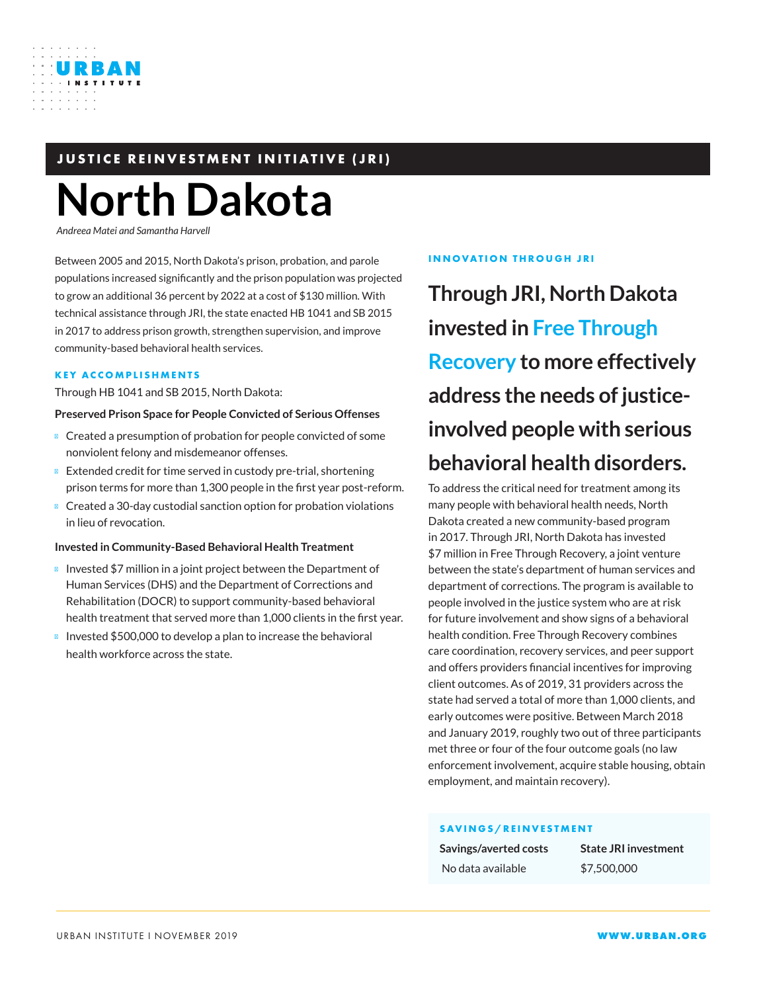

## **JUSTICE REINVESTMENT INITIATIVE (JRI)**

# **North Dakota**

*Andreea Matei and Samantha Harvell*

Between 2005 and 2015, North Dakota's prison, probation, and parole populations increased significantly and the prison population was projected to grow an additional 36 percent by 2022 at a cost of \$130 million. With technical assistance through JRI, the state enacted HB 1041 and SB 2015 in 2017 to address prison growth, strengthen supervision, and improve community-based behavioral health services.

#### **KEY ACCOMPLISHMENTS**

Through HB 1041 and SB 2015, North Dakota:

#### **Preserved Prison Space for People Convicted of Serious Offenses**

Created a presumption of probation for people convicted of some nonviolent felony and misdemeanor offenses.

Extended credit for time served in custody pre-trial, shortening prison terms for more than 1,300 people in the first year post-reform.

Created a 30-day custodial sanction option for probation violations in lieu of revocation.

#### **Invested in Community-Based Behavioral Health Treatment**

Invested \$7 million in a joint project between the Department of Human Services (DHS) and the Department of Corrections and Rehabilitation (DOCR) to support community-based behavioral health treatment that served more than 1,000 clients in the first year. Invested \$500,000 to develop a plan to increase the behavioral health workforce across the state.

#### **INNOVATION THROUGH JRI**

**Through JRI, North Dakota invested in Free Through Recovery to more effectively address the needs of justiceinvolved people with serious behavioral health disorders.**

To address the critical need for treatment among its many people with behavioral health needs, North Dakota created a new community-based program in 2017. Through JRI, North Dakota has invested \$7 million in Free Through Recovery, a joint venture between the state's department of human services and department of corrections. The program is available to people involved in the justice system who are at risk for future involvement and show signs of a behavioral health condition. Free Through Recovery combines care coordination, recovery services, and peer support and offers providers financial incentives for improving client outcomes. As of 2019, 31 providers across the state had served a total of more than 1,000 clients, and early outcomes were positive. Between March 2018 and January 2019, roughly two out of three participants met three or four of the four outcome goals (no law enforcement involvement, acquire stable housing, obtain employment, and maintain recovery).

#### **SAVINGS/REINVESTMENT**

| Savings/averted costs | <b>State JRI investment</b> |
|-----------------------|-----------------------------|
| No data available     | \$7,500,000                 |